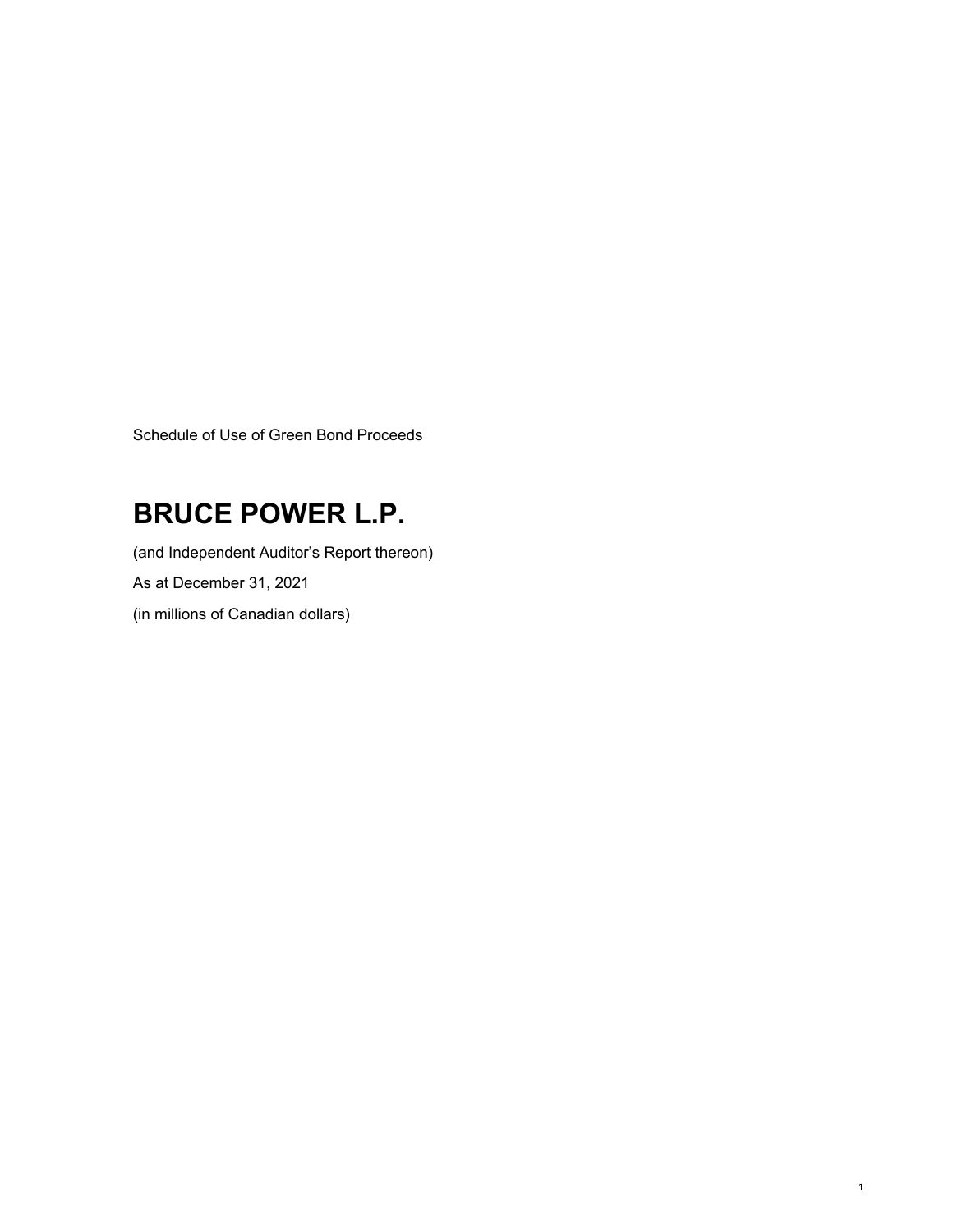Schedule of Use of Green Bond Proceeds

# **BRUCE POWER L.P.**

(and Independent Auditor's Report thereon)

1

As at December 31, 2021

(in millions of Canadian dollars)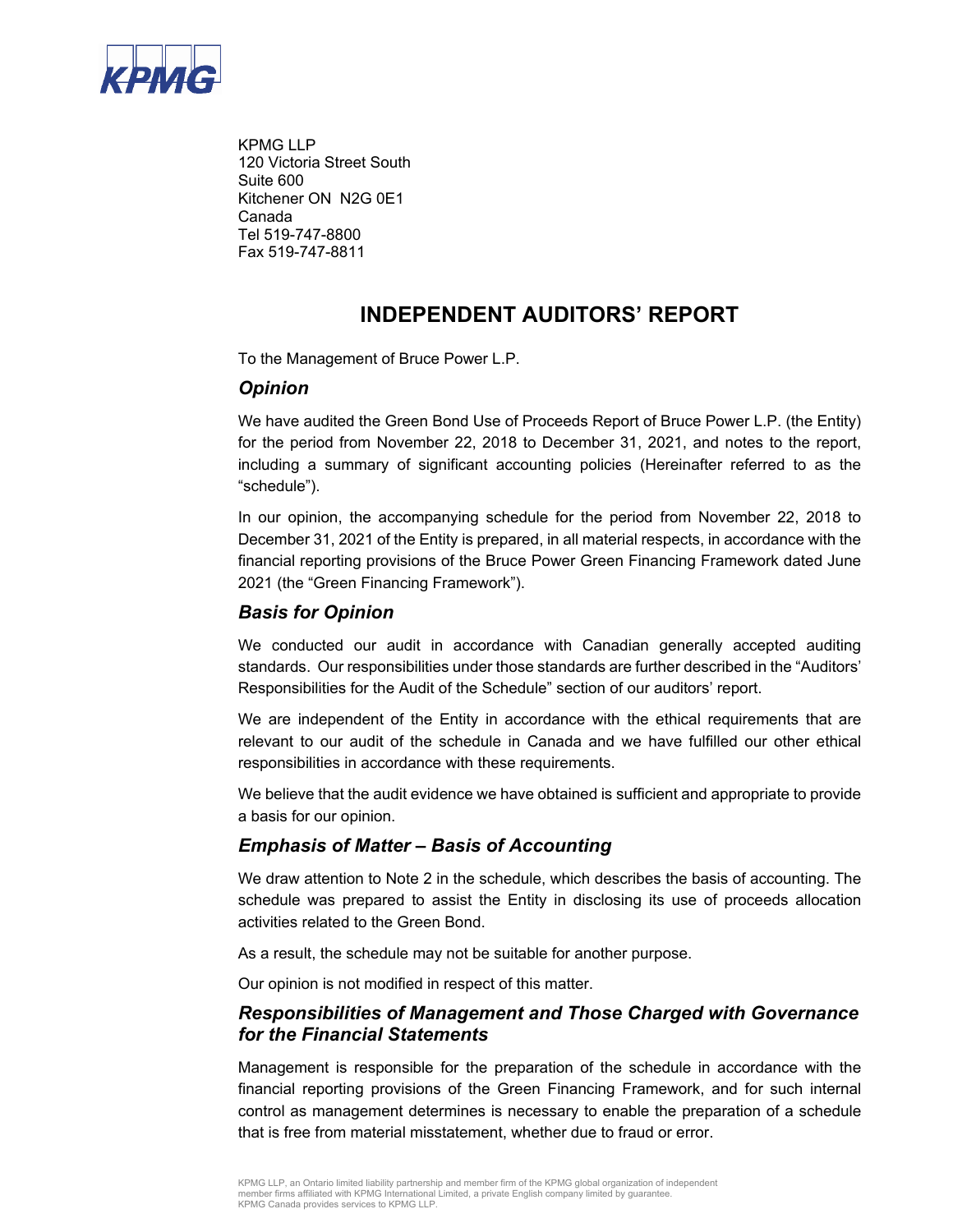

KPMG LLP 120 Victoria Street South Suite 600 Kitchener ON N2G 0E1 Canada Tel 519-747-8800 Fax 519-747-8811

# **INDEPENDENT AUDITORS' REPORT**

To the Management of Bruce Power L.P.

### *Opinion*

We have audited the Green Bond Use of Proceeds Report of Bruce Power L.P. (the Entity) for the period from November 22, 2018 to December 31, 2021, and notes to the report, including a summary of significant accounting policies (Hereinafter referred to as the "schedule").

In our opinion, the accompanying schedule for the period from November 22, 2018 to December 31, 2021 of the Entity is prepared, in all material respects, in accordance with the financial reporting provisions of the Bruce Power Green Financing Framework dated June 2021 (the "Green Financing Framework").

## *Basis for Opinion*

We conducted our audit in accordance with Canadian generally accepted auditing standards. Our responsibilities under those standards are further described in the "Auditors' Responsibilities for the Audit of the Schedule" section of our auditors' report.

We are independent of the Entity in accordance with the ethical requirements that are relevant to our audit of the schedule in Canada and we have fulfilled our other ethical responsibilities in accordance with these requirements.

We believe that the audit evidence we have obtained is sufficient and appropriate to provide a basis for our opinion.

# *Emphasis of Matter – Basis of Accounting*

We draw attention to Note 2 in the schedule, which describes the basis of accounting. The schedule was prepared to assist the Entity in disclosing its use of proceeds allocation activities related to the Green Bond.

As a result, the schedule may not be suitable for another purpose.

Our opinion is not modified in respect of this matter.

# *Responsibilities of Management and Those Charged with Governance for the Financial Statements*

Management is responsible for the preparation of the schedule in accordance with the financial reporting provisions of the Green Financing Framework, and for such internal control as management determines is necessary to enable the preparation of a schedule that is free from material misstatement, whether due to fraud or error.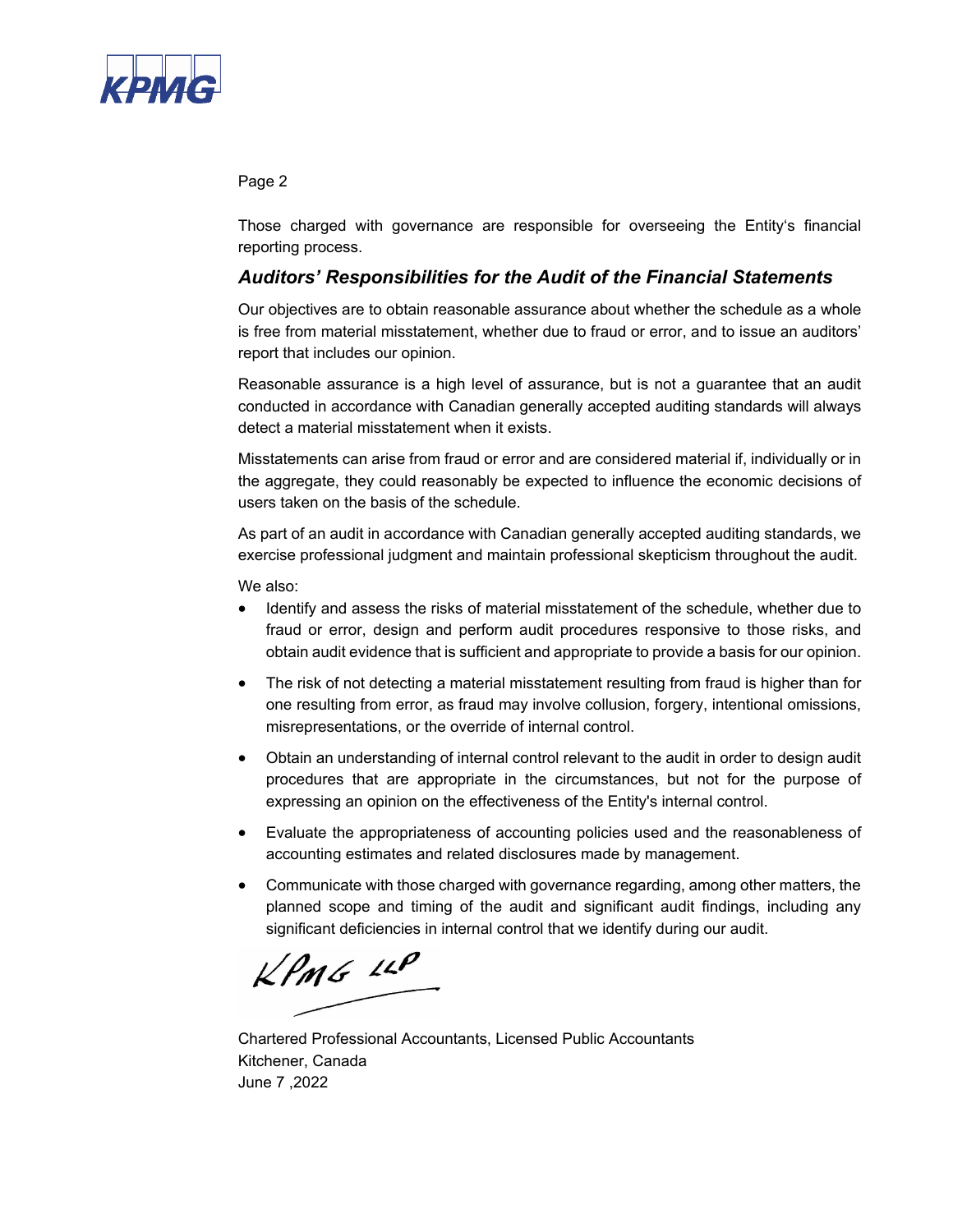

#### Page 2

Those charged with governance are responsible for overseeing the Entity's financial reporting process.

# *Auditors' Responsibilities for the Audit of the Financial Statements*

Our objectives are to obtain reasonable assurance about whether the schedule as a whole is free from material misstatement, whether due to fraud or error, and to issue an auditors' report that includes our opinion.

Reasonable assurance is a high level of assurance, but is not a guarantee that an audit conducted in accordance with Canadian generally accepted auditing standards will always detect a material misstatement when it exists.

Misstatements can arise from fraud or error and are considered material if, individually or in the aggregate, they could reasonably be expected to influence the economic decisions of users taken on the basis of the schedule.

As part of an audit in accordance with Canadian generally accepted auditing standards, we exercise professional judgment and maintain professional skepticism throughout the audit.

We also:

- Identify and assess the risks of material misstatement of the schedule, whether due to fraud or error, design and perform audit procedures responsive to those risks, and obtain audit evidence that is sufficient and appropriate to provide a basis for our opinion.
- The risk of not detecting a material misstatement resulting from fraud is higher than for one resulting from error, as fraud may involve collusion, forgery, intentional omissions, misrepresentations, or the override of internal control.
- Obtain an understanding of internal control relevant to the audit in order to design audit procedures that are appropriate in the circumstances, but not for the purpose of expressing an opinion on the effectiveness of the Entity's internal control.
- Evaluate the appropriateness of accounting policies used and the reasonableness of accounting estimates and related disclosures made by management.
- Communicate with those charged with governance regarding, among other matters, the planned scope and timing of the audit and significant audit findings, including any significant deficiencies in internal control that we identify during our audit.

 $kPMS$   $\mu P$ 

Chartered Professional Accountants, Licensed Public Accountants Kitchener, Canada June 7 ,2022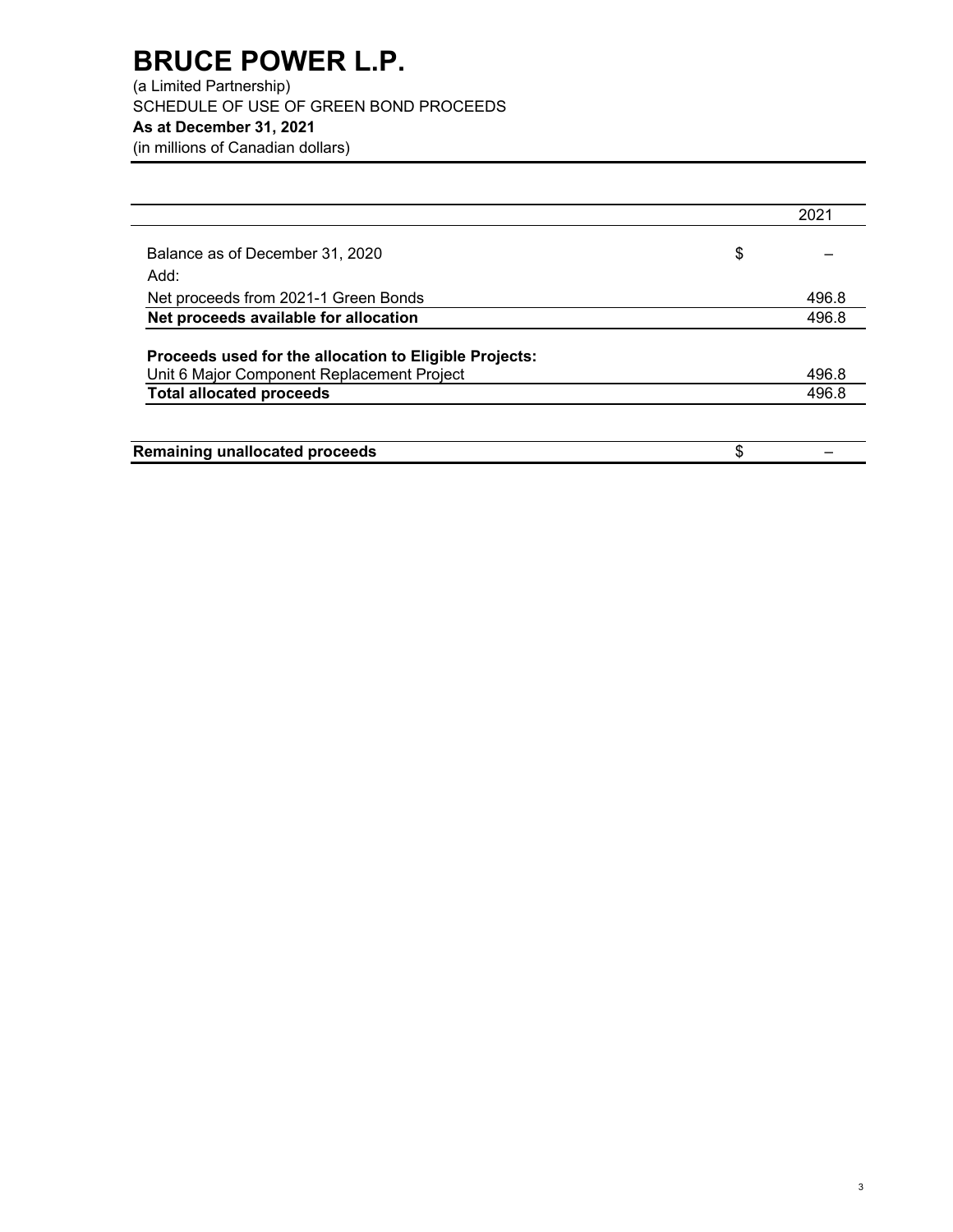(a Limited Partnership) SCHEDULE OF USE OF GREEN BOND PROCEEDS **As at December 31, 2021**  (in millions of Canadian dollars)

|                                                        | 2021  |
|--------------------------------------------------------|-------|
|                                                        |       |
| Balance as of December 31, 2020                        | \$    |
| Add:                                                   |       |
| Net proceeds from 2021-1 Green Bonds                   | 496.8 |
| Net proceeds available for allocation                  | 496.8 |
|                                                        |       |
| Proceeds used for the allocation to Eligible Projects: |       |
| Unit 6 Major Component Replacement Project             | 496.8 |
| <b>Total allocated proceeds</b>                        | 496.8 |
|                                                        |       |
| <b>Remaining unallocated proceeds</b>                  | \$    |